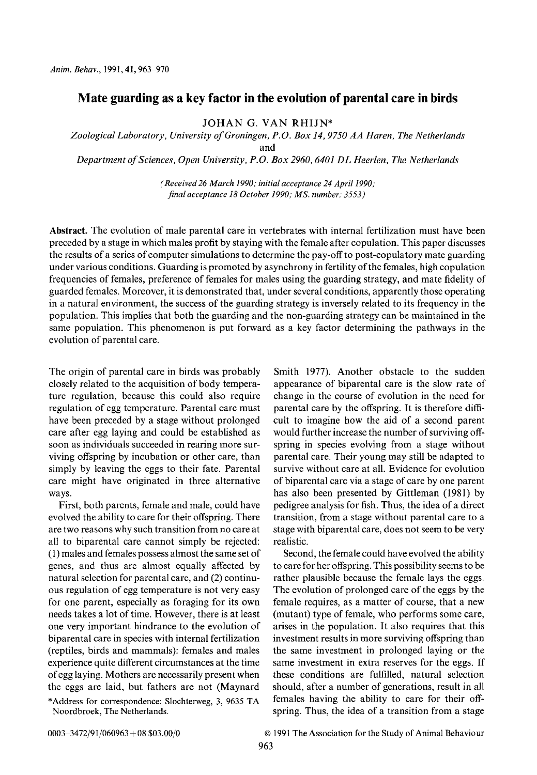# **Mate guarding as a key factor in the evolution of parental care in birds**

JOHAN G. VAN RHIJN\*

*Zoological Laboratory, University of Groningen, P.O. Box 14, 9750 AA Haren, The Netherlands*  and

*Department of Sciences, Open University, P.O. Box 2960, 6401 DL Heerlen, The Netherlands* 

*(Received 26 March 1990; initial acceptance 24 April 1990; final acceptance 18 October 1990; MS. number: 3553)* 

**Abstract.** The evolution of male parental care in vertebrates with internal fertilization must have been preceded by a stage in which males profit by staying with the female after copulation. This paper discusses the results of a series of computer simulations to determine the pay-off to post-copulatory mate guarding under various conditions. Guarding is promoted by asynchrony in fertility of the females, high copulation frequencies of females, preference of females for males using the guarding strategy, and mate fidelity of guarded females. Moreover, it is demonstrated that, under several conditions, apparently those operating in a natural environment, the success of the guarding strategy is inversely related to its frequency in the population. This implies that both the guarding and the non-guarding strategy can be maintained in the same population. This phenomenon is put forward as a key factor determining the pathways in the evolution of parental care.

The origin of parental care in birds was probably closely related to the acquisition of body temperature regulation, because this could also require regulation of egg temperature. Parental care must have been preceded by a stage without prolonged care after egg laying and could be established as soon as individuals succeeded in rearing more surviving offspring by incubation or other care, than simply by leaving the eggs to their fate. Parental care might have originated in three alternative ways.

First, both parents, female and male, could have evolved the ability to care for their offspring. There are two reasons why such transition from no care at all to biparental care cannot simply be rejected: (1) males and females possess almost the same set of genes, and thus are almost equally affected by natural selection for parental care, and (2) continuous regulation of egg temperature is not very easy for one parent, especially as foraging for its own needs takes a lot of time. However, there is at least one very important hindrance to the evolution of biparental care in species with internal fertilization (reptiles, birds and mammals): females and males experience quite different circumstances at the time of egg laying. Mothers are necessarily present when the eggs are laid, but fathers are not (Maynard \*Address for correspondence: Slochterweg, 3, *9635* TA Noordbroek, The Netherlands.

Smith 1977). Another obstacle to the sudden appearance of biparental care is the slow rate of change in the course of evolution in the need for parental care by the offspring. It is therefore difficult to imagine how the aid of a second parent would further increase the number of surviving offspring in species evolving from a stage without parental care. Their young may still be adapted to survive without care at all. Evidence for evolution of biparental care via a stage of care by one parent has also been presented by Gittleman (1981) by pedigree analysis for fish. Thus, the idea of a direct transition, from a stage without parental care to a stage with biparental care, does not seem to be very realistic.

Second, the female could have evolved the ability to care for her offspring. This possibility seems to be rather plausible because the female lays the eggs. The evolution of prolonged care of the eggs by the female requires, as a matter of course, that a new (mutant) type of female, who performs some care, arises in the population. It also requires that this investment results in more surviving offspring than the same investment in prolonged laying or the same investment in extra reserves for the eggs. If these conditions are fulfilled, natural selection should, after a number of generations, result in all females having the ability to care for their offspring. Thus, the idea of a transition from a stage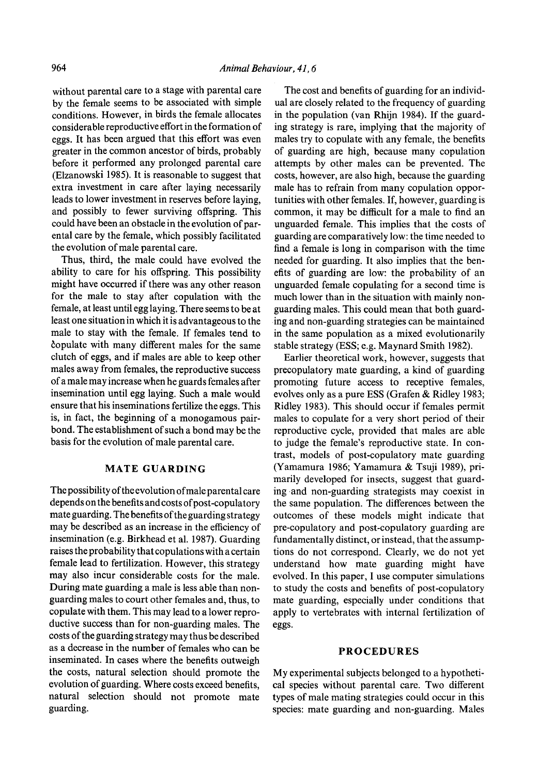without parental care to a stage with parental care by the female seems to be associated with simple conditions. However, in birds the female allocates considerable reproductive effort in the formation of eggs. It has been argued that this effort was even greater in the common ancestor of birds, probably before it performed any prolonged parental care (Elzanowski 1985). It is reasonable to suggest that extra investment in care after laying necessarily leads to lower investment in reserves before laying, and possibly to fewer surviving offspring. This could have been an obstacle in the evolution of parental care by the female, which possibly facilitated the evolution of male parental care.

Thus, third, the male could have evolved the ability to care for his offspring. This possibility might have occurred if there was any other reason for the male to stay after copulation with the female, at least until egg laying. There seems to be at least one situation in which it is advantageous to the male to stay with the female. If females tend to Copulate with many different males for the same clutch of eggs, and if males are able to keep other males away from females, the reproductive success of a male may increase when he guards females after insemination until egg laying. Such a male would ensure that his inseminations fertilize the eggs. This is, in fact, the beginning of a monogamous pairbond. The establishment of such a bond may be the basis for the evolution of male parental care.

# MATE GUARDING

The possibility of the evolution of male parental care depends on the benefits and costs of post-copulatory mate guarding. The benefits of the guarding strategy may be described as an increase in the efficiency of insemination (e.g. Birkhead et al. 1987). Guarding raises the probability that copulations with a certain female lead to fertilization. However, this strategy may also incur considerable costs for the male. During mate guarding a male is less able than nonguarding males to court other females and, thus, to copulate with them. This may lead to a lower reproductive success than for non-guarding males. The costs of the guarding strategy may thus be described as a decrease in the number of females who can be inseminated. In cases where the benefits outweigh the costs, natural selection should promote the evolution of guarding. Where costs exceed benefits, natural selection should not promote mate guarding.

The cost and benefits of guarding for an individual are closely related to the frequency of guarding in the population (van Rhijn 1984). If the guarding strategy is rare, implying that the majority of males try to copulate with any female, the benefits of guarding are high, because many copulation attempts by other males can be prevented. The costs, however, are also high, because the guarding male has to refrain from many copulation opportunities with other females. If, however, guarding is common, it may be difficult for a male to find an unguarded female. This implies that the costs of guarding are comparatively low: the time needed to find a female is long in comparison with the time needed for guarding. It also implies that the benefits of guarding are low: the probability of an unguarded female copulating for a second time is much lower than in the situation with mainly nonguarding males. This could mean that both guarding and non-guarding strategies can be maintained in the same population as a mixed evolutionarily stable strategy (ESS; e.g. Maynard Smith 1982).

Earlier theoretical work, however, suggests that precopulatory mate guarding, a kind of guarding promoting future access to receptive females, evolves only as a pure ESS (Grafen & Ridley 1983; Ridley 1983). This should occur if females permit males to copulate for a very short period of their reproductive cycle, provided that males are able to judge the female's reproductive state. In contrast, models of post-copulatory mate guarding (Yamamura 1986; Yamamura & Tsuji 1989), primarily developed for insects, suggest that guarding and non-guarding strategists may coexist in the same population. The differences between the outcomes of these models might indicate that pre-copulatory and post-copulatory guarding are fundamentally distinct, or instead, that the assumptions do not correspond. Clearly, we do not yet understand how mate guarding might have evolved. In this paper, I use computer simulations to study the costs and benefits of post-copulatory mate guarding, especially under conditions that apply to vertebrates with internal fertilization of eggs.

#### **PROCEDURES**

My experimental subjects belonged to a hypothetical species without parental care. Two different types of male mating strategies could occur in this species: mate guarding and non-guarding. Males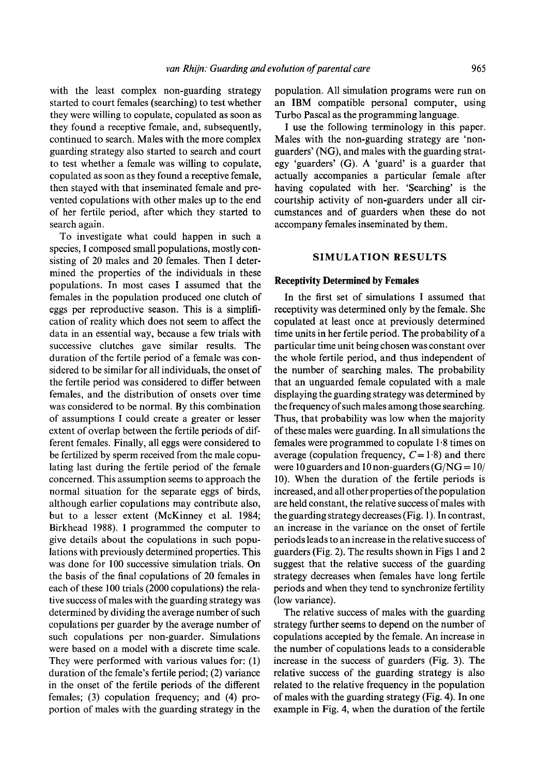with the least complex non-guarding strategy started to court females (searching) to test whether they were willing to copulate, copulated as soon as they found a receptive female, and, subsequently, continued to search. Males with the more complex guarding strategy also started to search and court to test whether a female was willing to copulate, copulated as soon as they found a receptive female, then stayed with that inseminated female and prevented copulations with other males up to the end of her fertile period, after which they started to search again.

To investigate what could happen in such a species, I composed small populations, mostly consisting of 20 males and 20 females. Then I determined the properties of the individuals in these populations. In most cases I assumed that the females in the population produced one clutch of eggs per reproductive season. This is a simplification of reality which does not seem to affect the data in an essential way, because a few trials with successive clutches gave similar results. The duration of the fertile period of a female was considered to be similar for all individuals, the onset of the fertile period was considered to differ between females, and the distribution of onsets over time was considered to be normal. By this combination of assumptions I could create a greater or lesser extent of overlap between the fertile periods of different females. Finally, all eggs were considered to be fertilized by sperm received from the male copulating last during the fertile period of the female concerned. This assumption seems to approach the normal situation for the separate eggs of birds, although earlier copulations may contribute also, but to a lesser extent (McKinney et al. 1984; Birkhead 1988). I programmed the computer to give details about the copulations in such populations with previously determined properties. This was done for 100 successive simulation trials. On the basis of the final copulations of 20 females in each of these 100 trials (2000 copulations) the relative success of males with the guarding strategy was determined by dividing the average number of such copulations per guarder by the average number of such copulations per non-guarder. Simulations were based on a model with a discrete time scale. They were performed with various values for: (1) duration of the female's fertile period; (2) variance in the onset of the fertile periods of the different females; (3) copulation frequency; and (4) proportion of males with the guarding strategy in the

population. All simulation programs were run on an IBM compatible personal computer, using Turbo Pascal as the programming language.

I use the following terminology in this paper. Males with the non-guarding strategy are 'nonguarders' (NG), and males with the guarding strategy 'guarders' (G). A 'guard' is a guarder that actually accompanies a particular female after having copulated with her. 'Searching' is the courtship activity of non-guarders under all circumstances and of guarders when these do not accompany females inseminated by them.

# SIMULATION RESULTS

## **Receptivity Determined by Females**

In the first set of simulations I assumed that receptivity was determined only by the female. She copulated at least once at previously determined time units in her fertile period. The probability of a particular time unit being chosen was constant over the whole fertile period, and thus independent of the number of searching males. The probability that an unguarded female copulated with a male displaying the guarding strategy was determined by the frequency of such males among those searching. Thus, that probability was low when the majority of these males were guarding. In all simulations the females were programmed to copulate 1.8 times on average (copulation frequency,  $C=1.8$ ) and there were 10 guarders and 10 non-guarders  $(G/NG = 10/$ 10). When the duration of the fertile periods is increased, and all other properties of the population are held constant, the relative success of males with the guarding strategy decreases (Fig. 1). In contrast, an increase in the variance on the onset of fertile periods leads to an increase in the relative success of guarders (Fig. 2). The results shown in Figs 1 and 2 suggest that the relative success of the guarding strategy decreases when females have long fertile periods and when they tend to synchronize fertility (low variance).

The relative success of males with the guarding strategy further seems to depend on the number of copulations accepted by the female. An increase in the number of copulations leads to a considerable increase in the success of guarders (Fig. 3). The relative success of the guarding strategy is also related to the relative frequency in the population of males with the guarding strategy (Fig. 4). In one example in Fig. 4, when the duration of the fertile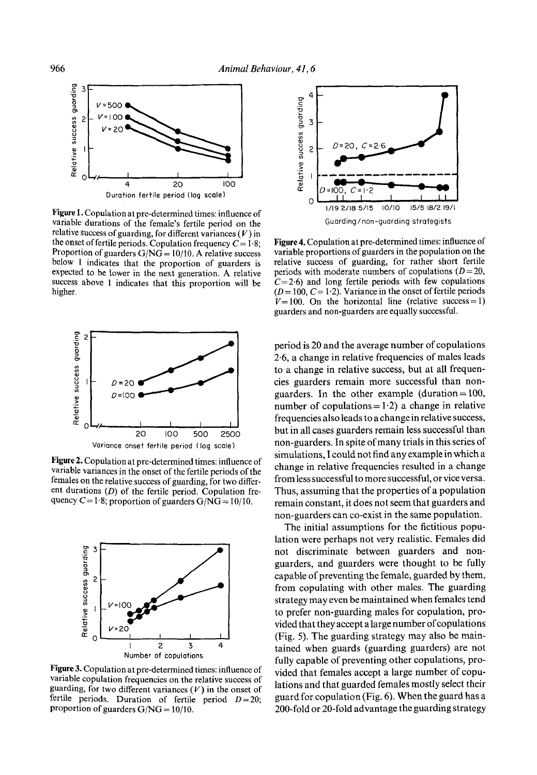

Figure I. Copulation at pre-determined times: influence of variable durations of the female's fertile period on the relative success of guarding, for different variances  $(V)$  in the onset of fertile periods. Copulation frequency  $C=1.8$ ; Proportion of guarders G/NG = 10/10. A relative success below 1 indicates that the proportion of guarders is expected to be lower in the next generation. A relative success above 1 indicates that this proportion will be higher.



Figure 2. Copulation at pre-determined times: influence of variable variances in the onset of the fertile periods of the females on the relative success of guarding, for two different durations  $(D)$  of the fertile period. Copulation frequency  $C = 1.8$ ; proportion of guarders  $G/NG = 10/10$ .



Figure 3. Copulation at pre-determined times: influence of variable copulation frequencies on the relative success of guarding, for two different variances  $(V)$  in the onset of fertile periods. Duration of fertile period  $D=20$ ; proportion of guarders G/NG = 10/10.



Figure 4. Copulation at pre-determined times: influence of variable proportions of guarders in the population on the relative success of guarding, for rather short fertile periods with moderate numbers of copulations ( $D=20$ ,  $C=2.6$ ) and long fertile periods with few copulations  $(D=100, C=1.2)$ . Variance in the onset of fertile periods  $V=100$ . On the horizontal line (relative success=1) guarders and non-guarders are equally successful.

period is 20 and the average number of copulations 2-6, a change in relative frequencies of males leads to a change in relative success, but at all frequencies guarders remain more successful than nonguarders. In the other example (duration =  $100$ , number of copulations =  $1.2$ ) a change in relative frequencies also leads to a change in relative success, but in all cases guarders remain less successful than non-guarders. In spite of many trials in this series of simulations, I could not find any example in which a change in relative frequencies resulted in a change from less successful to more successful, or vice versa. Thus, assuming that the properties of a population remain constant, it does not seem that guarders and non-guarders can co-exist in the same population.

The initial assumptions for the fictitious population were perhaps not very realistic. Females did not discriminate between guarders and nonguarders, and guarders were thought to be fully capable of preventing the female, guarded by them, from copulating with other males. The guarding strategy may even be maintained when females tend to prefer non-guarding males for copulation, provided that they accept a large number of copulations (Fig. 5). The guarding strategy may also be maintained when guards (guarding guarders) are not fully capable of preventing other copulations, provided that females accept a large number of copulations and that guarded females mostly select their guard for copulation (Fig. 6). When the guard has a 200-fold or 20-fold advantage the guarding strategy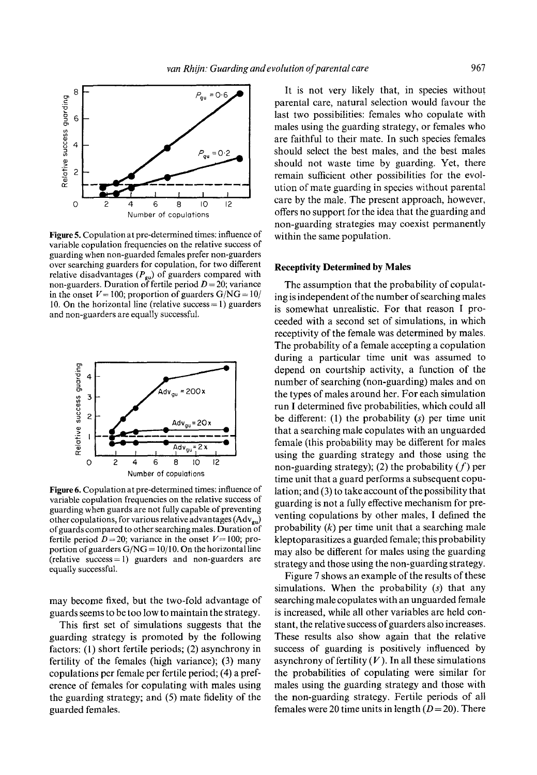

Figure 5. Copulation at pre-determined times: influence of variable copulation frequencies on the relative success of guarding when non-guarded females prefer non-guarders over searching guarders for copulation, for two different relative disadvantages  $(P_{\text{gu}})$  of guarders compared with non-guarders. Duration of fertile period  $D = 20$ ; variance in the onset  $V= 100$ ; proportion of guarders  $G/NG= 10/$ 10. On the horizontal line (relative success  $= 1$ ) guarders and non-guarders are equally successful.



Figure 6. Copulation at pre-determined times: influence of variable copulation frequencies on the relative success of guarding when guards are not fully capable of preventing other copulations, for various relative advantages  $(Adv_{\sigma}u)$ of guards compared to other searching males. Duration of fertile period  $D = 20$ ; variance in the onset  $V = 100$ ; proportion of guarders  $G/NG = 10/10$ . On the horizontal line (relative success=l) guarders and non-guarders are equally successful.

may become fixed, but the two-fold advantage of guards seems to be too low to maintain the strategy.

This first set of simulations suggests that the guarding strategy is promoted by the following factors: (1) short fertile periods; (2) asynchrony in fertility of the females (high variance); (3) many copulations per female per fertile period; (4) a preference of females for copulating with males using the guarding strategy; and (5) mate fidelity of the guarded females.

It is not very likely that, in species without parental care, natural selection would favour the last two possibilities: females who copulate with males using the guarding strategy, or females who are faithful to their mate. In such species females should select the best males, and the best males should not waste time by guarding. Yet, there remain sufficient other possibilities for the evolution of mate guarding in species without parental care by the male. The present approach, however, offers no support for the idea that the guarding and non-guarding strategies may coexist permanently within the same population.

#### **Receptivity Determined by Males**

The assumption that the probability of copulating is independent of the number of searching males is somewhat unrealistic. For that reason I proceeded with a second set of simulations, in which receptivity of the female was determined by males. The probability of a female accepting a copulation during a particular time unit was assumed to depend on courtship activity, a function of the number of searching (non-guarding) males and on the types of males around her. For each simulation run I determined five probabilities, which could all be different: (1) the probability  $(s)$  per time unit that a searching male copulates with an unguarded female (this probability may be different for males using the guarding strategy and those using the non-guarding strategy); (2) the probability  $(f)$  per time unit that a guard performs a subsequent copulation; and (3) to take account of the possibility that guarding is not a fully effective mechanism for preventing copulations by other males, I defined the probability  $(k)$  per time unit that a searching male kleptoparasitizes a guarded female; this probability may also be different for males using the guarding strategy and those using the non-guarding strategy.

Figure 7 shows an example of the results of these simulations. When the probability (s) that any searching male copulates with an unguarded female is increased, while all other variables are held constant, the relative success of guarders also increases. These results also show again that the relative success of guarding is positively influenced by asynchrony of fertility  $(V)$ . In all these simulations the probabilities of copulating were similar for males using the guarding strategy and those with the non-guarding strategy. Fertile periods of all females were 20 time units in length  $(D=20)$ . There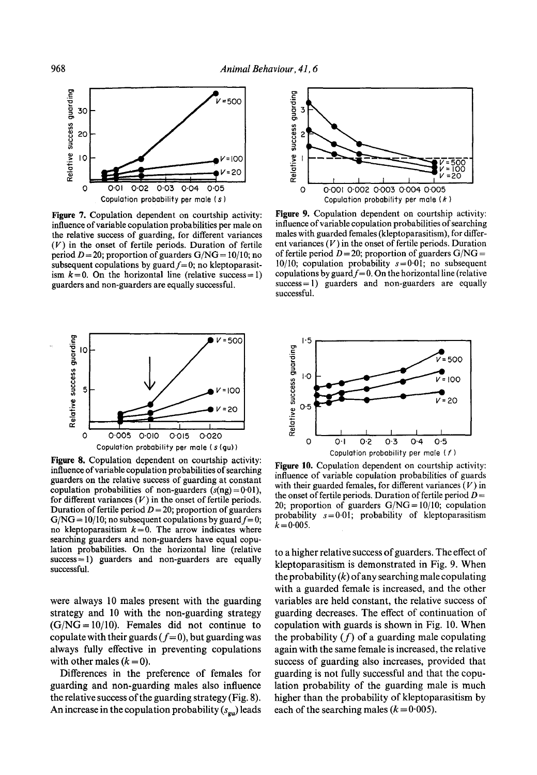

**Figure** 7. Copulation dependent on courtship activity: influence of variable copulation probabilities per male on the relative success of guarding, for different variances  $(V)$  in the onset of fertile periods. Duration of fertile period  $D = 20$ ; proportion of guarders  $G/NG = 10/10$ ; no subsequent copulations by guard  $f=0$ ; no kleptoparasitism  $k=0$ . On the horizontal line (relative success=1) guarders and non-guarders are equally successful,



**Figure** 8. Copulation dependent on courtship activity: influence of variable copulation probabilities of searching guarders on the relative success of guarding at constant copulation probabilities of non-guarders  $(s(ng)=0.01)$ , for different variances  $(V)$  in the onset of fertile periods. Duration of fertile period  $D = 20$ ; proportion of guarders  $G/NG = 10/10$ ; no subsequent copulations by guard  $f=0$ ; no kleptoparasitism  $k = 0$ . The arrow indicates where searching guarders and non-guarders have equal copulation probabilities. On the horizontal line (relative  $success = 1$ ) guarders and non-guarders are equally successful.

were always 10 males present with the guarding strategy and 10 with the non-guarding strategy  $(G/NG = 10/10)$ . Females did not continue to copulate with their guards  $(f= 0)$ , but guarding was always fully effective in preventing copulations with other males  $(k=0)$ .

Differences in the preference of females for guarding and non-guarding males also influence the relative success of the guarding strategy (Fig. 8). An increase in the copulation probability  $(s_{gu})$  leads



**Figure** 9. Copulation dependent on courtship activity: influence of variable copulation probabilities of searching males with guarded females (kleptoparasitism), for different variances  $(V)$  in the onset of fertile periods. Duration of fertile period  $D = 20$ ; proportion of guarders  $G/NG =$ 10/10; copulation probability  $s=0.01$ ; no subsequent copulations by guard  $f=0$ . On the horizontal line (relative success=1) guarders and non-guarders are equally successful.



**Figure** 10. Copulation dependent on courtship activity: influence of variable copulation probabilities of guards with their guarded females, for different variances  $(V)$  in the onset of fertile periods. Duration of fertile period  $D =$ 20; proportion of guarders  $G/NG = 10/10$ ; copulation probability  $s=0.01$ ; probability of kleptoparasitism  $k = 0.005$ .

to a higher relative success of guarders. The effect of kleptoparasitism is demonstrated in Fig. 9. When the probability  $(k)$  of any searching male copulating with a guarded female is increased, and the other variables are held constant, the relative success of guarding decreases. The effect of continuation of copulation with guards is shown in Fig. 10. When the probability  $(f)$  of a guarding male copulating again with the same female is increased, the relative success of guarding also increases, provided that guarding is not fully successful and that the copulation probability of the guarding male is much higher than the probability of kleptoparasitism by each of the searching males ( $k = 0.005$ ).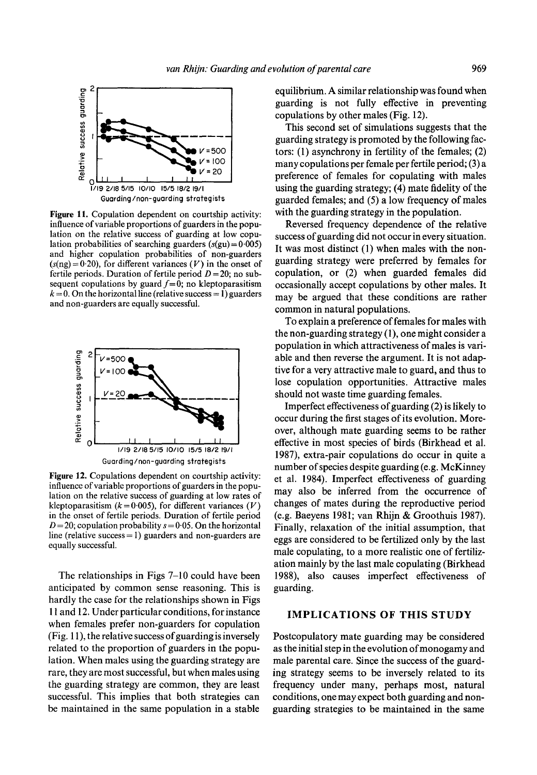

Figure 11. Copulation dependent on courtship activity: influence of variable proportions of guarders in the population on the relative success of guarding at low copulation probabilities of searching guarders  $(s(gu)= 0.005)$ and higher copulation probabilities of non-guarders  $(s(ng) = 0.20)$ , for different variances (V) in the onset of fertile periods. Duration of fertile period  $D = 20$ ; no subsequent copulations by guard  $f=0$ ; no kleptoparasitism  $k = 0$ . On the horizontal line (relative success = 1) guarders and non-guarders are equally successful.



**Figure** 12. Copulations dependent on courtship activity: influence of variable proportions of guarders in the population on the relative success of guarding at low rates of kleptoparasitism ( $k = 0.005$ ), for different variances (V) in the onset of fertile periods. Duration of fertile period  $D = 20$ ; copulation probability  $s = 0.05$ . On the horizontal line (relative success  $= 1$ ) guarders and non-guarders are equally successful.

The relationships in Figs 7-10 could have been anticipated by common sense reasoning. This is hardly the case for the relationships shown in Figs 11 and 12. Under particular conditions, for instance when females prefer non-guarders for copulation (Fig. 11), the relative success of guarding is inversely related to the proportion of guarders in the population. When males using the guarding strategy are rare, they are most successful, but when males using the guarding strategy are common, they are least successful. This implies that both strategies can be maintained in the same population in a stable

equilibrium. A similar relationship was found when guarding is not fully effective in preventing copulations by other males (Fig. 12).

This second set of simulations suggests that the guarding strategy is promoted by the following factors: (1) asynchrony in fertility of the females; (2) many copulations per female per fertile period; (3) a preference of females for copulating with males using the guarding strategy; (4) mate fidelity of the guarded females; and (5) a low frequency of males with the guarding strategy in the population.

Reversed frequency dependence of the relative success of guarding did not occur in every situation. It was most distinct (1) when males with the nonguarding strategy were preferred by females for copulation, or (2) when guarded females did occasionally accept copulations by other males. It may be argued that these conditions are rather common in natural populations.

To explain a preference of females for males with the non-guarding strategy (1), one might consider a population in which attractiveness of males is variable and then reverse the argument. It is not adaptive for a very attractive male to guard, and thus to lose copulation opportunities. Attractive males should not waste time guarding females.

Imperfect effectiveness of guarding (2) is likely to occur during the first stages of its evolution. Moreover, although mate guarding seems to be rather effective in most species of birds (Birkhead et al. 1987), extra-pair copulations do occur in quite a number of species despite guarding (e.g. McKinney et al. 1984). Imperfect effectiveness of guarding may also be inferred from the occurrence of changes of mates during the reproductive period (e.g. Baeyens 1981; van Rhijn & Groothuis 1987). Finally, relaxation of the initial assumption, that eggs are considered to be fertilized only by the last male copulating, to a more realistic one of fertilization mainly by the last male copulating (Birkhead 1988), also causes imperfect effectiveness of guarding.

## IMPLICATIONS OF THIS STUDY

Postcopulatory mate guarding may be considered as the initial step in the evolution of monogamy and male parental care. Since the success of the guarding strategy seems to be inversely related to its frequency under many, perhaps most, natural conditions, one may expect both guarding and nonguarding strategies to be maintained in the same